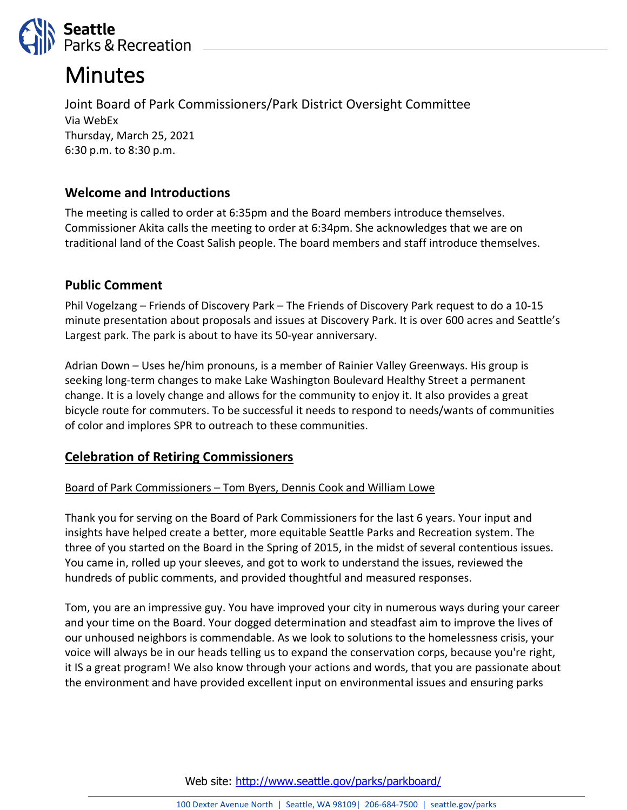

# **Minutes**

Joint Board of Park Commissioners/Park District Oversight Committee Via WebEx Thursday, March 25, 2021 6:30 p.m. to 8:30 p.m.

# **Welcome and Introductions**

The meeting is called to order at 6:35pm and the Board members introduce themselves. Commissioner Akita calls the meeting to order at 6:34pm. She acknowledges that we are on traditional land of the Coast Salish people. The board members and staff introduce themselves.

## **Public Comment**

Phil Vogelzang – Friends of Discovery Park – The Friends of Discovery Park request to do a 10-15 minute presentation about proposals and issues at Discovery Park. It is over 600 acres and Seattle's Largest park. The park is about to have its 50-year anniversary.

Adrian Down – Uses he/him pronouns, is a member of Rainier Valley Greenways. His group is seeking long-term changes to make Lake Washington Boulevard Healthy Street a permanent change. It is a lovely change and allows for the community to enjoy it. It also provides a great bicycle route for commuters. To be successful it needs to respond to needs/wants of communities of color and implores SPR to outreach to these communities.

## **Celebration of Retiring Commissioners**

## Board of Park Commissioners – Tom Byers, Dennis Cook and William Lowe

Thank you for serving on the Board of Park Commissioners for the last 6 years. Your input and insights have helped create a better, more equitable Seattle Parks and Recreation system. The three of you started on the Board in the Spring of 2015, in the midst of several contentious issues. You came in, rolled up your sleeves, and got to work to understand the issues, reviewed the hundreds of public comments, and provided thoughtful and measured responses.

Tom, you are an impressive guy. You have improved your city in numerous ways during your career and your time on the Board. Your dogged determination and steadfast aim to improve the lives of our unhoused neighbors is commendable. As we look to solutions to the homelessness crisis, your voice will always be in our heads telling us to expand the conservation corps, because you're right, it IS a great program! We also know through your actions and words, that you are passionate about the environment and have provided excellent input on environmental issues and ensuring parks

Web site: <http://www.seattle.gov/parks/parkboard/>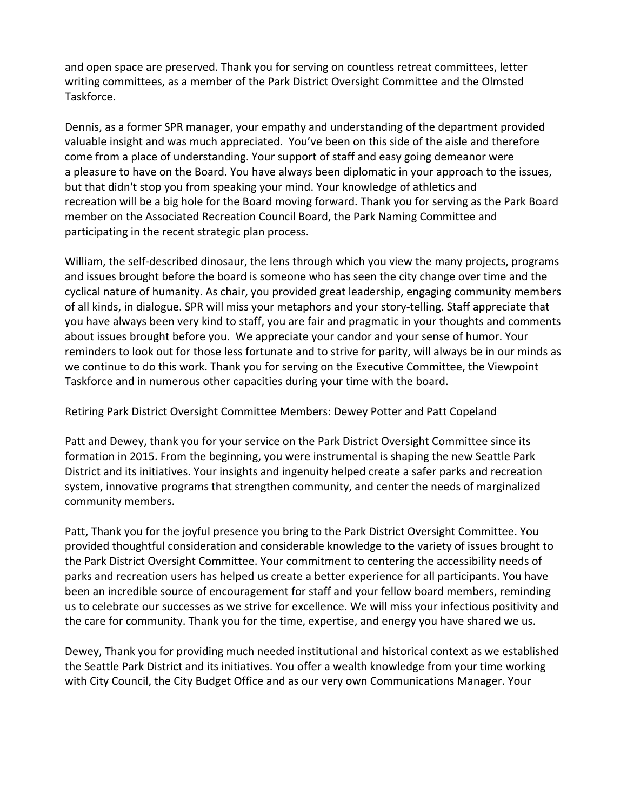and open space are preserved. Thank you for serving on countless retreat committees, letter writing committees, as a member of the Park District Oversight Committee and the Olmsted Taskforce.

Dennis, as a former SPR manager, your empathy and understanding of the department provided valuable insight and was much appreciated. You've been on this side of the aisle and therefore come from a place of understanding. Your support of staff and easy going demeanor were a pleasure to have on the Board. You have always been diplomatic in your approach to the issues, but that didn't stop you from speaking your mind. Your knowledge of athletics and recreation will be a big hole for the Board moving forward. Thank you for serving as the Park Board member on the Associated Recreation Council Board, the Park Naming Committee and participating in the recent strategic plan process.

William, the self-described dinosaur, the lens through which you view the many projects, programs and issues brought before the board is someone who has seen the city change over time and the cyclical nature of humanity. As chair, you provided great leadership, engaging community members of all kinds, in dialogue. SPR will miss your metaphors and your story-telling. Staff appreciate that you have always been very kind to staff, you are fair and pragmatic in your thoughts and comments about issues brought before you. We appreciate your candor and your sense of humor. Your reminders to look out for those less fortunate and to strive for parity, will always be in our minds as we continue to do this work. Thank you for serving on the Executive Committee, the Viewpoint Taskforce and in numerous other capacities during your time with the board.

## Retiring Park District Oversight Committee Members: Dewey Potter and Patt Copeland

Patt and Dewey, thank you for your service on the Park District Oversight Committee since its formation in 2015. From the beginning, you were instrumental is shaping the new Seattle Park District and its initiatives. Your insights and ingenuity helped create a safer parks and recreation system, innovative programs that strengthen community, and center the needs of marginalized community members.

Patt, Thank you for the joyful presence you bring to the Park District Oversight Committee. You provided thoughtful consideration and considerable knowledge to the variety of issues brought to the Park District Oversight Committee. Your commitment to centering the accessibility needs of parks and recreation users has helped us create a better experience for all participants. You have been an incredible source of encouragement for staff and your fellow board members, reminding us to celebrate our successes as we strive for excellence. We will miss your infectious positivity and the care for community. Thank you for the time, expertise, and energy you have shared we us.

Dewey, Thank you for providing much needed institutional and historical context as we established the Seattle Park District and its initiatives. You offer a wealth knowledge from your time working with City Council, the City Budget Office and as our very own Communications Manager. Your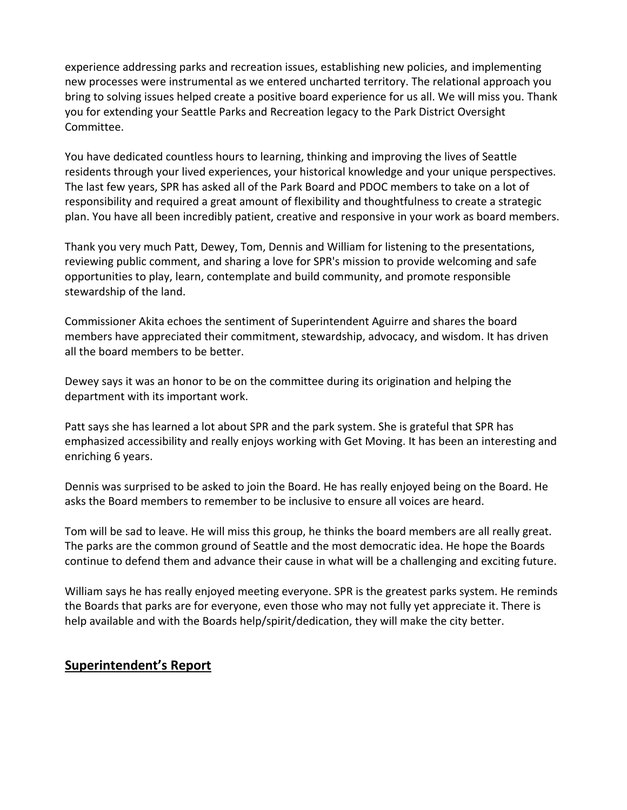experience addressing parks and recreation issues, establishing new policies, and implementing new processes were instrumental as we entered uncharted territory. The relational approach you bring to solving issues helped create a positive board experience for us all. We will miss you. Thank you for extending your Seattle Parks and Recreation legacy to the Park District Oversight Committee.

You have dedicated countless hours to learning, thinking and improving the lives of Seattle residents through your lived experiences, your historical knowledge and your unique perspectives. The last few years, SPR has asked all of the Park Board and PDOC members to take on a lot of responsibility and required a great amount of flexibility and thoughtfulness to create a strategic plan. You have all been incredibly patient, creative and responsive in your work as board members.

Thank you very much Patt, Dewey, Tom, Dennis and William for listening to the presentations, reviewing public comment, and sharing a love for SPR's mission to provide welcoming and safe opportunities to play, learn, contemplate and build community, and promote responsible stewardship of the land.

Commissioner Akita echoes the sentiment of Superintendent Aguirre and shares the board members have appreciated their commitment, stewardship, advocacy, and wisdom. It has driven all the board members to be better.

Dewey says it was an honor to be on the committee during its origination and helping the department with its important work.

Patt says she has learned a lot about SPR and the park system. She is grateful that SPR has emphasized accessibility and really enjoys working with Get Moving. It has been an interesting and enriching 6 years.

Dennis was surprised to be asked to join the Board. He has really enjoyed being on the Board. He asks the Board members to remember to be inclusive to ensure all voices are heard.

Tom will be sad to leave. He will miss this group, he thinks the board members are all really great. The parks are the common ground of Seattle and the most democratic idea. He hope the Boards continue to defend them and advance their cause in what will be a challenging and exciting future.

William says he has really enjoyed meeting everyone. SPR is the greatest parks system. He reminds the Boards that parks are for everyone, even those who may not fully yet appreciate it. There is help available and with the Boards help/spirit/dedication, they will make the city better.

## **Superintendent's Report**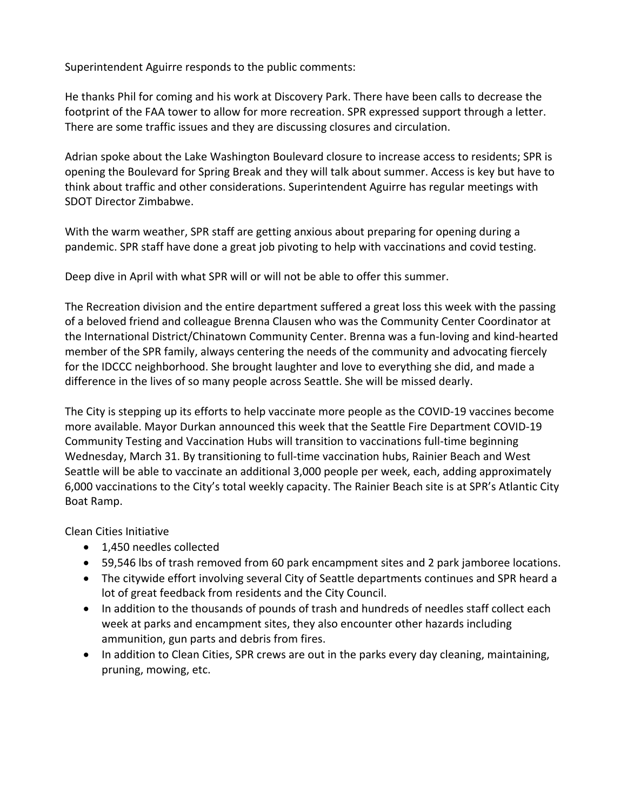Superintendent Aguirre responds to the public comments:

He thanks Phil for coming and his work at Discovery Park. There have been calls to decrease the footprint of the FAA tower to allow for more recreation. SPR expressed support through a letter. There are some traffic issues and they are discussing closures and circulation.

Adrian spoke about the Lake Washington Boulevard closure to increase access to residents; SPR is opening the Boulevard for Spring Break and they will talk about summer. Access is key but have to think about traffic and other considerations. Superintendent Aguirre has regular meetings with SDOT Director Zimbabwe.

With the warm weather, SPR staff are getting anxious about preparing for opening during a pandemic. SPR staff have done a great job pivoting to help with vaccinations and covid testing.

Deep dive in April with what SPR will or will not be able to offer this summer.

The Recreation division and the entire department suffered a great loss this week with the passing of a beloved friend and colleague Brenna Clausen who was the Community Center Coordinator at the International District/Chinatown Community Center. Brenna was a fun-loving and kind-hearted member of the SPR family, always centering the needs of the community and advocating fiercely for the IDCCC neighborhood. She brought laughter and love to everything she did, and made a difference in the lives of so many people across Seattle. She will be missed dearly.

The City is stepping up its efforts to help vaccinate more people as the COVID-19 vaccines become more available. Mayor Durkan announced this week that the Seattle Fire Department COVID-19 Community Testing and Vaccination Hubs will transition to vaccinations full-time beginning Wednesday, March 31. By transitioning to full-time vaccination hubs, Rainier Beach and West Seattle will be able to vaccinate an additional 3,000 people per week, each, adding approximately 6,000 vaccinations to the City's total weekly capacity. The Rainier Beach site is at SPR's Atlantic City Boat Ramp.

Clean Cities Initiative

- 1,450 needles collected
- 59,546 lbs of trash removed from 60 park encampment sites and 2 park jamboree locations.
- The citywide effort involving several City of Seattle departments continues and SPR heard a lot of great feedback from residents and the City Council.
- In addition to the thousands of pounds of trash and hundreds of needles staff collect each week at parks and encampment sites, they also encounter other hazards including ammunition, gun parts and debris from fires.
- In addition to Clean Cities, SPR crews are out in the parks every day cleaning, maintaining, pruning, mowing, etc.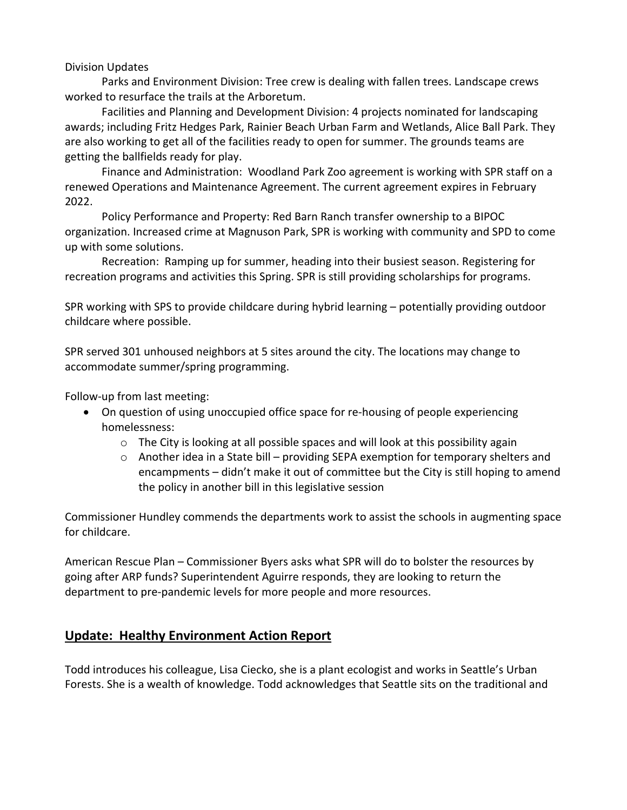#### Division Updates

Parks and Environment Division: Tree crew is dealing with fallen trees. Landscape crews worked to resurface the trails at the Arboretum.

Facilities and Planning and Development Division: 4 projects nominated for landscaping awards; including Fritz Hedges Park, Rainier Beach Urban Farm and Wetlands, Alice Ball Park. They are also working to get all of the facilities ready to open for summer. The grounds teams are getting the ballfields ready for play.

Finance and Administration: Woodland Park Zoo agreement is working with SPR staff on a renewed Operations and Maintenance Agreement. The current agreement expires in February 2022.

Policy Performance and Property: Red Barn Ranch transfer ownership to a BIPOC organization. Increased crime at Magnuson Park, SPR is working with community and SPD to come up with some solutions.

Recreation: Ramping up for summer, heading into their busiest season. Registering for recreation programs and activities this Spring. SPR is still providing scholarships for programs.

SPR working with SPS to provide childcare during hybrid learning – potentially providing outdoor childcare where possible.

SPR served 301 unhoused neighbors at 5 sites around the city. The locations may change to accommodate summer/spring programming.

Follow-up from last meeting:

- On question of using unoccupied office space for re-housing of people experiencing homelessness:
	- $\circ$  The City is looking at all possible spaces and will look at this possibility again
	- o Another idea in a State bill providing SEPA exemption for temporary shelters and encampments – didn't make it out of committee but the City is still hoping to amend the policy in another bill in this legislative session

Commissioner Hundley commends the departments work to assist the schools in augmenting space for childcare.

American Rescue Plan – Commissioner Byers asks what SPR will do to bolster the resources by going after ARP funds? Superintendent Aguirre responds, they are looking to return the department to pre-pandemic levels for more people and more resources.

# **Update: Healthy Environment Action Report**

Todd introduces his colleague, Lisa Ciecko, she is a plant ecologist and works in Seattle's Urban Forests. She is a wealth of knowledge. Todd acknowledges that Seattle sits on the traditional and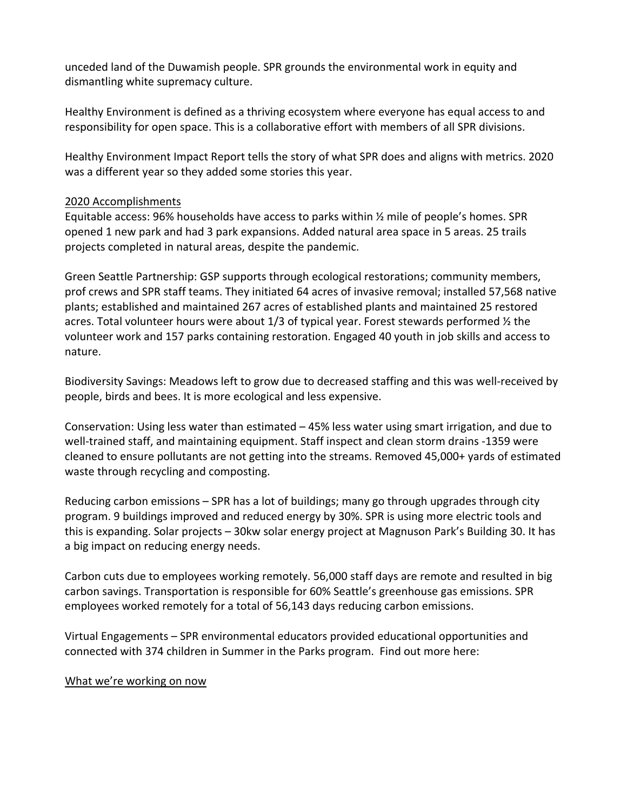unceded land of the Duwamish people. SPR grounds the environmental work in equity and dismantling white supremacy culture.

Healthy Environment is defined as a thriving ecosystem where everyone has equal access to and responsibility for open space. This is a collaborative effort with members of all SPR divisions.

Healthy Environment Impact Report tells the story of what SPR does and aligns with metrics. 2020 was a different year so they added some stories this year.

## 2020 Accomplishments

Equitable access: 96% households have access to parks within  $\frac{1}{2}$  mile of people's homes. SPR opened 1 new park and had 3 park expansions. Added natural area space in 5 areas. 25 trails projects completed in natural areas, despite the pandemic.

Green Seattle Partnership: GSP supports through ecological restorations; community members, prof crews and SPR staff teams. They initiated 64 acres of invasive removal; installed 57,568 native plants; established and maintained 267 acres of established plants and maintained 25 restored acres. Total volunteer hours were about 1/3 of typical year. Forest stewards performed ½ the volunteer work and 157 parks containing restoration. Engaged 40 youth in job skills and access to nature.

Biodiversity Savings: Meadows left to grow due to decreased staffing and this was well-received by people, birds and bees. It is more ecological and less expensive.

Conservation: Using less water than estimated – 45% less water using smart irrigation, and due to well-trained staff, and maintaining equipment. Staff inspect and clean storm drains -1359 were cleaned to ensure pollutants are not getting into the streams. Removed 45,000+ yards of estimated waste through recycling and composting.

Reducing carbon emissions – SPR has a lot of buildings; many go through upgrades through city program. 9 buildings improved and reduced energy by 30%. SPR is using more electric tools and this is expanding. Solar projects – 30kw solar energy project at Magnuson Park's Building 30. It has a big impact on reducing energy needs.

Carbon cuts due to employees working remotely. 56,000 staff days are remote and resulted in big carbon savings. Transportation is responsible for 60% Seattle's greenhouse gas emissions. SPR employees worked remotely for a total of 56,143 days reducing carbon emissions.

Virtual Engagements – SPR environmental educators provided educational opportunities and connected with 374 children in Summer in the Parks program. Find out more here:

#### What we're working on now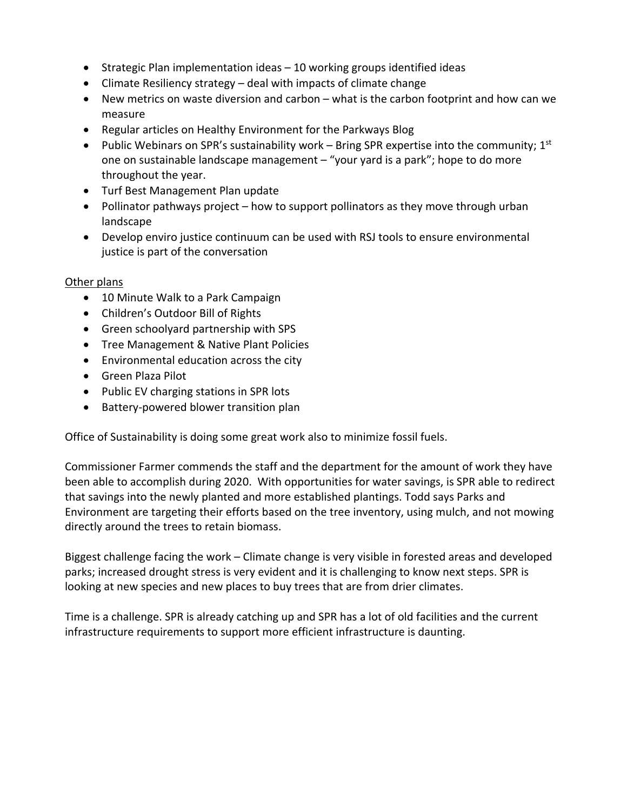- Strategic Plan implementation ideas 10 working groups identified ideas
- Climate Resiliency strategy deal with impacts of climate change
- New metrics on waste diversion and carbon what is the carbon footprint and how can we measure
- Regular articles on Healthy Environment for the Parkways Blog
- Public Webinars on SPR's sustainability work Bring SPR expertise into the community;  $1^{st}$ one on sustainable landscape management – "your yard is a park"; hope to do more throughout the year.
- Turf Best Management Plan update
- Pollinator pathways project how to support pollinators as they move through urban landscape
- Develop enviro justice continuum can be used with RSJ tools to ensure environmental justice is part of the conversation

#### Other plans

- 10 Minute Walk to a Park Campaign
- Children's Outdoor Bill of Rights
- Green schoolyard partnership with SPS
- Tree Management & Native Plant Policies
- Environmental education across the city
- Green Plaza Pilot
- Public EV charging stations in SPR lots
- Battery-powered blower transition plan

Office of Sustainability is doing some great work also to minimize fossil fuels.

Commissioner Farmer commends the staff and the department for the amount of work they have been able to accomplish during 2020. With opportunities for water savings, is SPR able to redirect that savings into the newly planted and more established plantings. Todd says Parks and Environment are targeting their efforts based on the tree inventory, using mulch, and not mowing directly around the trees to retain biomass.

Biggest challenge facing the work – Climate change is very visible in forested areas and developed parks; increased drought stress is very evident and it is challenging to know next steps. SPR is looking at new species and new places to buy trees that are from drier climates.

Time is a challenge. SPR is already catching up and SPR has a lot of old facilities and the current infrastructure requirements to support more efficient infrastructure is daunting.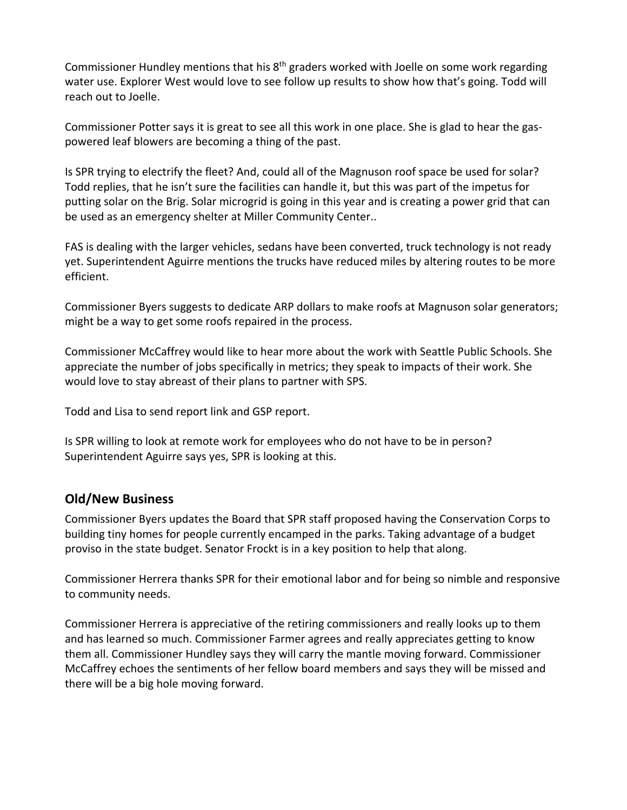Commissioner Hundley mentions that his  $8<sup>th</sup>$  graders worked with Joelle on some work regarding water use. Explorer West would love to see follow up results to show how that's going. Todd will reach out to Joelle.

Commissioner Potter says it is great to see all this work in one place. She is glad to hear the gaspowered leaf blowers are becoming a thing of the past.

Is SPR trying to electrify the fleet? And, could all of the Magnuson roof space be used for solar? Todd replies, that he isn't sure the facilities can handle it, but this was part of the impetus for putting solar on the Brig. Solar microgrid is going in this year and is creating a power grid that can be used as an emergency shelter at Miller Community Center..

FAS is dealing with the larger vehicles, sedans have been converted, truck technology is not ready yet. Superintendent Aguirre mentions the trucks have reduced miles by altering routes to be more efficient.

Commissioner Byers suggests to dedicate ARP dollars to make roofs at Magnuson solar generators; might be a way to get some roofs repaired in the process.

Commissioner McCaffrey would like to hear more about the work with Seattle Public Schools. She appreciate the number of jobs specifically in metrics; they speak to impacts of their work. She would love to stay abreast of their plans to partner with SPS.

Todd and Lisa to send report link and GSP report.

Is SPR willing to look at remote work for employees who do not have to be in person? Superintendent Aguirre says yes, SPR is looking at this.

## **Old/New Business**

Commissioner Byers updates the Board that SPR staff proposed having the Conservation Corps to building tiny homes for people currently encamped in the parks. Taking advantage of a budget proviso in the state budget. Senator Frockt is in a key position to help that along.

Commissioner Herrera thanks SPR for their emotional labor and for being so nimble and responsive to community needs.

Commissioner Herrera is appreciative of the retiring commissioners and really looks up to them and has learned so much. Commissioner Farmer agrees and really appreciates getting to know them all. Commissioner Hundley says they will carry the mantle moving forward. Commissioner McCaffrey echoes the sentiments of her fellow board members and says they will be missed and there will be a big hole moving forward.